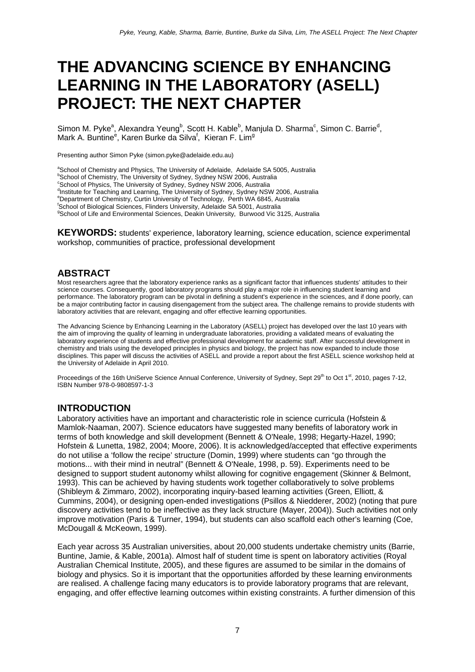# **THE ADVANCING SCIENCE BY ENHANCING LEARNING IN THE LABORATORY (ASELL) PROJECT: THE NEXT CHAPTER**

Simon M. Pyke<sup>a</sup>, Alexandra Yeung<sup>b</sup>, Scott H. Kable<sup>b</sup>, Manjula D. Sharma<sup>c</sup>, Simon C. Barrie<sup>d</sup>, Mark A. Buntine<sup>e</sup>, Karen Burke da Silva<sup>f</sup>, Kieran F. Lim<sup>g</sup>

Presenting author Simon Pyke (simon.pyke@adelaide.edu.au)

<sup>a</sup> School of Chemistry and Physics, The University of Adelaide, Adelaide SA 5005, Australia <sup>b</sup>School of Chemistry, The University of Sydney, Sydney NSW 2006, Australia <sup>c</sup>School of Physics, The University of Sydney, Sydney NSW 2006, Australia <sup>d</sup>Institute for Teaching and Learning, The University of Sydney, Sydney NSW 2006, Australia e Department of Chemistry, Curtin University of Technology, Perth WA 6845, Australia f School of Biological Sciences, Flinders University, Adelaide SA 5001, Australia g **School of Life and Environmental Sciences, Deakin University, Burwood Vic 3125, Australia** 

**KEYWORDS:** students' experience, laboratory learning, science education, science experimental workshop, communities of practice, professional development

# **ABSTRACT**

Most researchers agree that the laboratory experience ranks as a significant factor that influences students' attitudes to their science courses. Consequently, good laboratory programs should play a major role in influencing student learning and performance. The laboratory program can be pivotal in defining a student's experience in the sciences, and if done poorly, can be a major contributing factor in causing disengagement from the subject area. The challenge remains to provide students with laboratory activities that are relevant, engaging and offer effective learning opportunities.

The Advancing Science by Enhancing Learning in the Laboratory (ASELL) project has developed over the last 10 years with the aim of improving the quality of learning in undergraduate laboratories, providing a validated means of evaluating the laboratory experience of students and effective professional development for academic staff. After successful development in chemistry and trials using the developed principles in physics and biology, the project has now expanded to include those disciplines. This paper will discuss the activities of ASELL and provide a report about the first ASELL science workshop held at the University of Adelaide in April 2010.

Proceedings of the 16th UniServe Science Annual Conference, University of Sydney, Sept 29<sup>th</sup> to Oct 1<sup>st</sup>, 2010, pages 7-12, ISBN Number 978-0-9808597-1-3

# **INTRODUCTION**

Laboratory activities have an important and characteristic role in science curricula (Hofstein & Mamlok-Naaman, 2007). Science educators have suggested many benefits of laboratory work in terms of both knowledge and skill development (Bennett & O'Neale, 1998; Hegarty-Hazel, 1990; Hofstein & Lunetta, 1982, 2004; Moore, 2006). It is acknowledged/accepted that effective experiments do not utilise a 'follow the recipe' structure (Domin, 1999) where students can "go through the motions... with their mind in neutral" (Bennett & O'Neale, 1998, p. 59). Experiments need to be designed to support student autonomy whilst allowing for cognitive engagement (Skinner & Belmont, 1993). This can be achieved by having students work together collaboratively to solve problems (Shibleym & Zimmaro, 2002), incorporating inquiry-based learning activities (Green, Elliott, & Cummins, 2004), or designing open-ended investigations (Psillos & Niedderer, 2002) (noting that pure discovery activities tend to be ineffective as they lack structure (Mayer, 2004)). Such activities not only improve motivation (Paris & Turner, 1994), but students can also scaffold each other's learning (Coe, McDougall & McKeown, 1999).

Each year across 35 Australian universities, about 20,000 students undertake chemistry units (Barrie, Buntine, Jamie, & Kable, 2001a). Almost half of student time is spent on laboratory activities (Royal Australian Chemical Institute, 2005), and these figures are assumed to be similar in the domains of biology and physics. So it is important that the opportunities afforded by these learning environments are realised. A challenge facing many educators is to provide laboratory programs that are relevant, engaging, and offer effective learning outcomes within existing constraints. A further dimension of this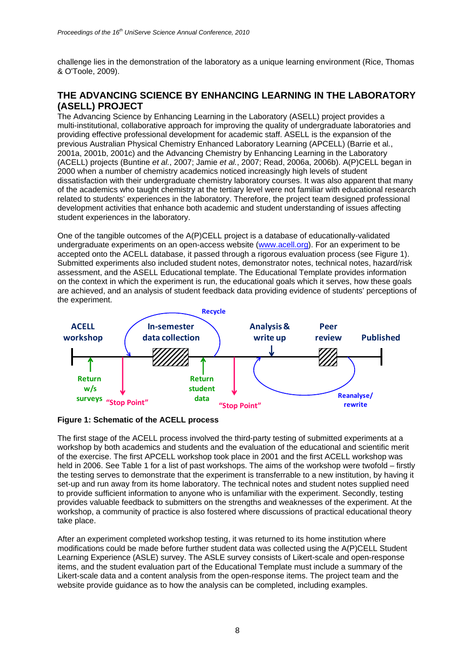challenge lies in the demonstration of the laboratory as a unique learning environment (Rice, Thomas & O'Toole, 2009).

# **THE ADVANCING SCIENCE BY ENHANCING LEARNING IN THE LABORATORY (ASELL) PROJECT**

The Advancing Science by Enhancing Learning in the Laboratory (ASELL) project provides a multi-institutional, collaborative approach for improving the quality of undergraduate laboratories and providing effective professional development for academic staff. ASELL is the expansion of the previous Australian Physical Chemistry Enhanced Laboratory Learning (APCELL) (Barrie et al*.*, 2001a, 2001b, 2001c) and the Advancing Chemistry by Enhancing Learning in the Laboratory (ACELL) projects (Buntine *et al.*, 2007; Jamie *et al.*, 2007; Read, 2006a, 2006b). A(P)CELL began in 2000 when a number of chemistry academics noticed increasingly high levels of student dissatisfaction with their undergraduate chemistry laboratory courses. It was also apparent that many of the academics who taught chemistry at the tertiary level were not familiar with educational research related to students' experiences in the laboratory. Therefore, the project team designed professional development activities that enhance both academic and student understanding of issues affecting student experiences in the laboratory.

One of the tangible outcomes of the A(P)CELL project is a database of educationally-validated undergraduate experiments on an open-access website (www.acell.org). For an experiment to be accepted onto the ACELL database, it passed through a rigorous evaluation process (see Figure 1). Submitted experiments also included student notes, demonstrator notes, technical notes, hazard/risk assessment, and the ASELL Educational template. The Educational Template provides information on the context in which the experiment is run, the educational goals which it serves, how these goals are achieved, and an analysis of student feedback data providing evidence of students' perceptions of the experiment.



#### **Figure 1: Schematic of the ACELL process**

The first stage of the ACELL process involved the third-party testing of submitted experiments at a workshop by both academics and students and the evaluation of the educational and scientific merit of the exercise. The first APCELL workshop took place in 2001 and the first ACELL workshop was held in 2006. See Table 1 for a list of past workshops. The aims of the workshop were twofold – firstly the testing serves to demonstrate that the experiment is transferrable to a new institution, by having it set-up and run away from its home laboratory. The technical notes and student notes supplied need to provide sufficient information to anyone who is unfamiliar with the experiment. Secondly, testing provides valuable feedback to submitters on the strengths and weaknesses of the experiment. At the workshop, a community of practice is also fostered where discussions of practical educational theory take place.

After an experiment completed workshop testing, it was returned to its home institution where modifications could be made before further student data was collected using the A(P)CELL Student Learning Experience (ASLE) survey. The ASLE survey consists of Likert-scale and open-response items, and the student evaluation part of the Educational Template must include a summary of the Likert-scale data and a content analysis from the open-response items. The project team and the website provide guidance as to how the analysis can be completed, including examples.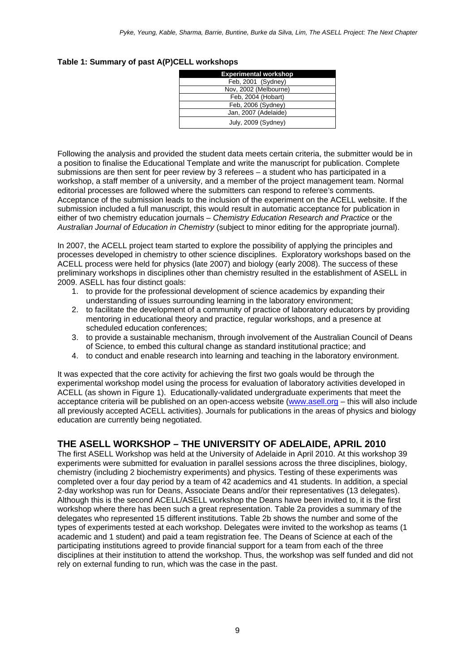| <b>Experimental workshop</b> |
|------------------------------|
| Feb, 2001 (Sydney)           |
| Nov, 2002 (Melbourne)        |
| Feb. 2004 (Hobart)           |
| Feb, 2006 (Sydney)           |
| Jan, 2007 (Adelaide)         |
| July, 2009 (Sydney)          |

#### **Table 1: Summary of past A(P)CELL workshops**

Following the analysis and provided the student data meets certain criteria, the submitter would be in a position to finalise the Educational Template and write the manuscript for publication. Complete submissions are then sent for peer review by 3 referees – a student who has participated in a workshop, a staff member of a university, and a member of the project management team. Normal editorial processes are followed where the submitters can respond to referee's comments. Acceptance of the submission leads to the inclusion of the experiment on the ACELL website. If the submission included a full manuscript, this would result in automatic acceptance for publication in either of two chemistry education journals – *Chemistry Education Research and Practice* or the *Australian Journal of Education in Chemistry* (subject to minor editing for the appropriate journal).

In 2007, the ACELL project team started to explore the possibility of applying the principles and processes developed in chemistry to other science disciplines. Exploratory workshops based on the ACELL process were held for physics (late 2007) and biology (early 2008). The success of these preliminary workshops in disciplines other than chemistry resulted in the establishment of ASELL in 2009. ASELL has four distinct goals:

- 1. to provide for the professional development of science academics by expanding their understanding of issues surrounding learning in the laboratory environment;
- 2. to facilitate the development of a community of practice of laboratory educators by providing mentoring in educational theory and practice, regular workshops, and a presence at scheduled education conferences;
- 3. to provide a sustainable mechanism, through involvement of the Australian Council of Deans of Science, to embed this cultural change as standard institutional practice; and
- 4. to conduct and enable research into learning and teaching in the laboratory environment.

It was expected that the core activity for achieving the first two goals would be through the experimental workshop model using the process for evaluation of laboratory activities developed in ACELL (as shown in Figure 1). Educationally-validated undergraduate experiments that meet the acceptance criteria will be published on an open-access website (www.asell.org – this will also include all previously accepted ACELL activities). Journals for publications in the areas of physics and biology education are currently being negotiated.

# **THE ASELL WORKSHOP – THE UNIVERSITY OF ADELAIDE, APRIL 2010**

The first ASELL Workshop was held at the University of Adelaide in April 2010. At this workshop 39 experiments were submitted for evaluation in parallel sessions across the three disciplines, biology, chemistry (including 2 biochemistry experiments) and physics. Testing of these experiments was completed over a four day period by a team of 42 academics and 41 students. In addition, a special 2-day workshop was run for Deans, Associate Deans and/or their representatives (13 delegates). Although this is the second ACELL/ASELL workshop the Deans have been invited to, it is the first workshop where there has been such a great representation. Table 2a provides a summary of the delegates who represented 15 different institutions. Table 2b shows the number and some of the types of experiments tested at each workshop. Delegates were invited to the workshop as teams (1 academic and 1 student) and paid a team registration fee. The Deans of Science at each of the participating institutions agreed to provide financial support for a team from each of the three disciplines at their institution to attend the workshop. Thus, the workshop was self funded and did not rely on external funding to run, which was the case in the past.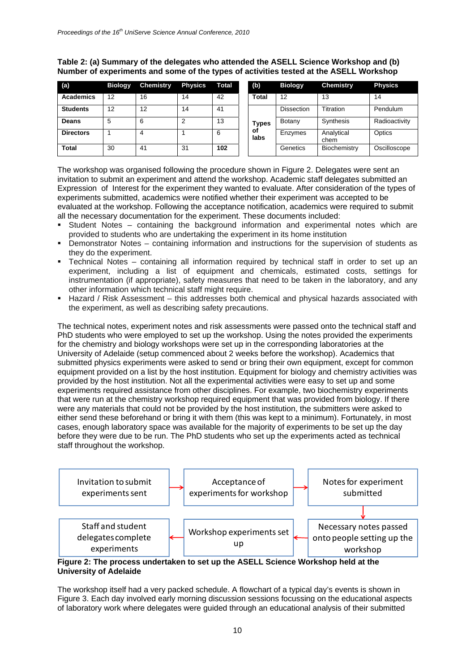| (a)              | <b>Biology</b> | <b>Chemistry</b> | <b>Physics</b> | Total | (b)          | <b>Biology</b>    | <b>Chemistry</b>   | <b>Physics</b> |
|------------------|----------------|------------------|----------------|-------|--------------|-------------------|--------------------|----------------|
| <b>Academics</b> | 12             | 16               | 14             | 42    | <b>Total</b> | 12                | 13                 | 14             |
| <b>Students</b>  | 12             | 12               | 14             | 41    |              | <b>Dissection</b> | Titration          | Pendulum       |
| <b>Deans</b>     | 5              | 6                | っ              | 13    | Types        | Botany            | Synthesis          | Radioactivity  |
| <b>Directors</b> |                | 4                |                | 6     | οf<br>labs   | Enzymes           | Analytical<br>chem | Optics         |
| <b>Total</b>     | 30             | 41               | 31             | 102   |              | Genetics          | Biochemistry       | Oscilloscope   |

## **Table 2: (a) Summary of the delegates who attended the ASELL Science Workshop and (b) Number of experiments and some of the types of activities tested at the ASELL Workshop**

The workshop was organised following the procedure shown in Figure 2. Delegates were sent an invitation to submit an experiment and attend the workshop. Academic staff delegates submitted an Expression of Interest for the experiment they wanted to evaluate. After consideration of the types of experiments submitted, academics were notified whether their experiment was accepted to be evaluated at the workshop. Following the acceptance notification, academics were required to submit all the necessary documentation for the experiment. These documents included:

- Student Notes containing the background information and experimental notes which are provided to students who are undertaking the experiment in its home institution
- Demonstrator Notes containing information and instructions for the supervision of students as they do the experiment.
- Technical Notes containing all information required by technical staff in order to set up an experiment, including a list of equipment and chemicals, estimated costs, settings for instrumentation (if appropriate), safety measures that need to be taken in the laboratory, and any other information which technical staff might require.
- **Hazard / Risk Assessment this addresses both chemical and physical hazards associated with** the experiment, as well as describing safety precautions.

The technical notes, experiment notes and risk assessments were passed onto the technical staff and PhD students who were employed to set up the workshop. Using the notes provided the experiments for the chemistry and biology workshops were set up in the corresponding laboratories at the University of Adelaide (setup commenced about 2 weeks before the workshop). Academics that submitted physics experiments were asked to send or bring their own equipment, except for common equipment provided on a list by the host institution. Equipment for biology and chemistry activities was provided by the host institution. Not all the experimental activities were easy to set up and some experiments required assistance from other disciplines. For example, two biochemistry experiments that were run at the chemistry workshop required equipment that was provided from biology. If there were any materials that could not be provided by the host institution, the submitters were asked to either send these beforehand or bring it with them (this was kept to a minimum). Fortunately, in most cases, enough laboratory space was available for the majority of experiments to be set up the day before they were due to be run. The PhD students who set up the experiments acted as technical staff throughout the workshop.



### **Figure 2: The process undertaken to set up the ASELL Science Workshop held at the University of Adelaide**

The workshop itself had a very packed schedule. A flowchart of a typical day's events is shown in Figure 3. Each day involved early morning discussion sessions focussing on the educational aspects of laboratory work where delegates were guided through an educational analysis of their submitted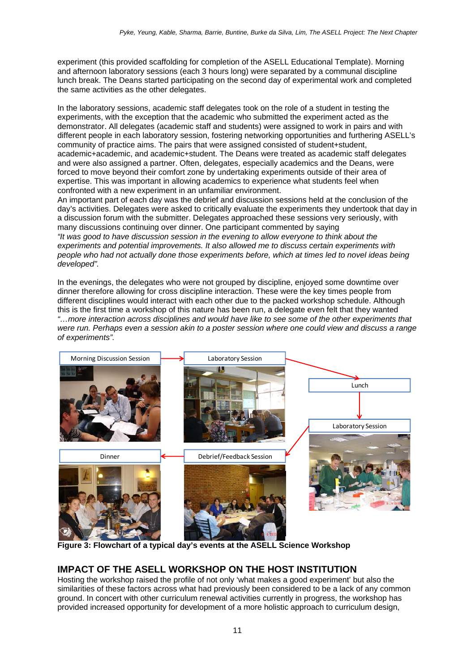experiment (this provided scaffolding for completion of the ASELL Educational Template). Morning and afternoon laboratory sessions (each 3 hours long) were separated by a communal discipline lunch break. The Deans started participating on the second day of experimental work and completed the same activities as the other delegates.

In the laboratory sessions, academic staff delegates took on the role of a student in testing the experiments, with the exception that the academic who submitted the experiment acted as the demonstrator. All delegates (academic staff and students) were assigned to work in pairs and with different people in each laboratory session, fostering networking opportunities and furthering ASELL's community of practice aims. The pairs that were assigned consisted of student+student, academic+academic, and academic+student. The Deans were treated as academic staff delegates and were also assigned a partner. Often, delegates, especially academics and the Deans, were forced to move beyond their comfort zone by undertaking experiments outside of their area of expertise. This was important in allowing academics to experience what students feel when confronted with a new experiment in an unfamiliar environment.

An important part of each day was the debrief and discussion sessions held at the conclusion of the day's activities. Delegates were asked to critically evaluate the experiments they undertook that day in a discussion forum with the submitter. Delegates approached these sessions very seriously, with many discussions continuing over dinner. One participant commented by saying *"It was good to have discussion session in the evening to allow everyone to think about the experiments and potential improvements. It also allowed me to discuss certain experiments with people who had not actually done those experiments before, which at times led to novel ideas being developed".* 

In the evenings, the delegates who were not grouped by discipline, enjoyed some downtime over dinner therefore allowing for cross discipline interaction. These were the key times people from different disciplines would interact with each other due to the packed workshop schedule. Although this is the first time a workshop of this nature has been run, a delegate even felt that they wanted *"…more interaction across disciplines and would have like to see some of the other experiments that were run. Perhaps even a session akin to a poster session where one could view and discuss a range of experiments".* 



**Figure 3: Flowchart of a typical day's events at the ASELL Science Workshop** 

# **IMPACT OF THE ASELL WORKSHOP ON THE HOST INSTITUTION**

Hosting the workshop raised the profile of not only 'what makes a good experiment' but also the similarities of these factors across what had previously been considered to be a lack of any common ground. In concert with other curriculum renewal activities currently in progress, the workshop has provided increased opportunity for development of a more holistic approach to curriculum design,